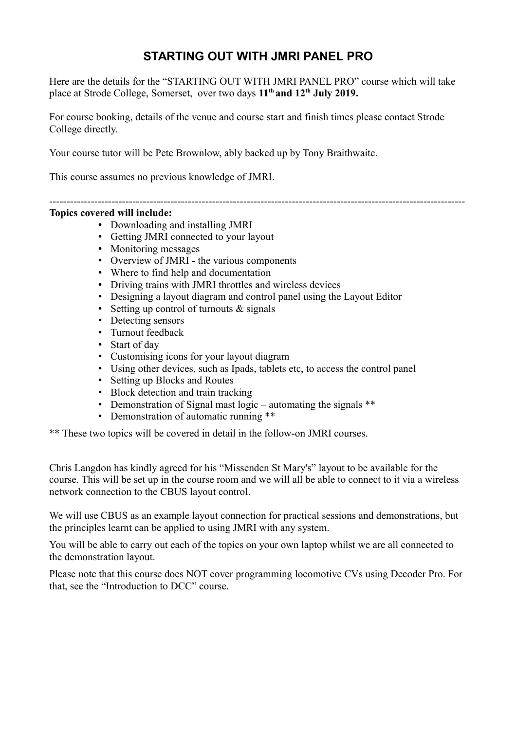## **STARTING OUT WITH JMRI PANEL PRO**

Here are the details for the "STARTING OUT WITH JMRI PANEL PRO" course which will take place at Strode College, Somerset, over two days **11th and 12th July 2019.**

For course booking, details of the venue and course start and finish times please contact Strode College directly.

Your course tutor will be Pete Brownlow, ably backed up by Tony Braithwaite.

This course assumes no previous knowledge of JMRI.

------------------------------------------------------------------------------------------------------------------------

## **Topics covered will include:**

- Downloading and installing JMRI
- Getting JMRI connected to your layout
- Monitoring messages
- Overview of JMRI the various components
- Where to find help and documentation
- Driving trains with JMRI throttles and wireless devices
- Designing a layout diagram and control panel using the Layout Editor
- Setting up control of turnouts & signals
- Detecting sensors
- Turnout feedback
- Start of day
- Customising icons for your layout diagram
- Using other devices, such as Ipads, tablets etc, to access the control panel
- Setting up Blocks and Routes
- Block detection and train tracking
- Demonstration of Signal mast logic automating the signals \*\*
- Demonstration of automatic running \*\*

\*\* These two topics will be covered in detail in the follow-on JMRI courses.

Chris Langdon has kindly agreed for his "Missenden St Mary's" layout to be available for the course. This will be set up in the course room and we will all be able to connect to it via a wireless network connection to the CBUS layout control.

We will use CBUS as an example layout connection for practical sessions and demonstrations, but the principles learnt can be applied to using JMRI with any system.

You will be able to carry out each of the topics on your own laptop whilst we are all connected to the demonstration layout.

Please note that this course does NOT cover programming locomotive CVs using Decoder Pro. For that, see the "Introduction to DCC" course.